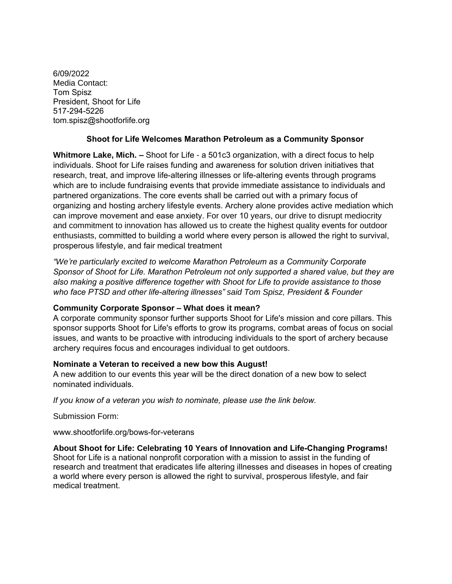6/09/2022 Media Contact: Tom Spisz President, Shoot for Life 517-294-5226 tom.spisz@shootforlife.org

## **Shoot for Life Welcomes Marathon Petroleum as a Community Sponsor**

**Whitmore Lake, Mich. –** Shoot for Life - a 501c3 organization, with a direct focus to help individuals. Shoot for Life raises funding and awareness for solution driven initiatives that research, treat, and improve life-altering illnesses or life-altering events through programs which are to include fundraising events that provide immediate assistance to individuals and partnered organizations. The core events shall be carried out with a primary focus of organizing and hosting archery lifestyle events. Archery alone provides active mediation which can improve movement and ease anxiety. For over 10 years, our drive to disrupt mediocrity and commitment to innovation has allowed us to create the highest quality events for outdoor enthusiasts, committed to building a world where every person is allowed the right to survival, prosperous lifestyle, and fair medical treatment

*"We're particularly excited to welcome Marathon Petroleum as a Community Corporate Sponsor of Shoot for Life. Marathon Petroleum not only supported a shared value, but they are also making a positive difference together with Shoot for Life to provide assistance to those who face PTSD and other life-altering illnesses" said Tom Spisz, President & Founder*

## **Community Corporate Sponsor – What does it mean?**

A corporate community sponsor further supports Shoot for Life's mission and core pillars. This sponsor supports Shoot for Life's efforts to grow its programs, combat areas of focus on social issues, and wants to be proactive with introducing individuals to the sport of archery because archery requires focus and encourages individual to get outdoors.

## **Nominate a Veteran to received a new bow this August!**

A new addition to our events this year will be the direct donation of a new bow to select nominated individuals.

*If you know of a veteran you wish to nominate, please use the link below.*

Submission Form:

www.shootforlife.org/bows-for-veterans

**About Shoot for Life: Celebrating 10 Years of Innovation and Life-Changing Programs!** Shoot for Life is a national nonprofit corporation with a mission to assist in the funding of research and treatment that eradicates life altering illnesses and diseases in hopes of creating a world where every person is allowed the right to survival, prosperous lifestyle, and fair medical treatment.